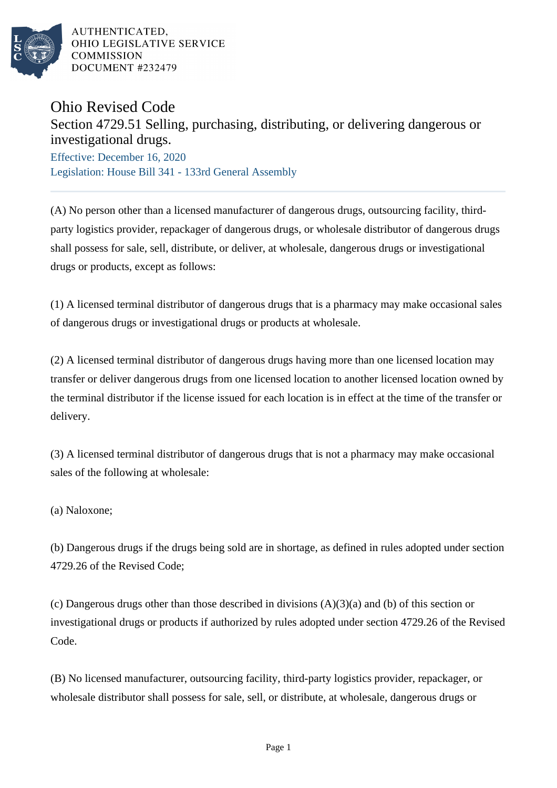

## Ohio Revised Code

## Section 4729.51 Selling, purchasing, distributing, or delivering dangerous or investigational drugs.

Effective: December 16, 2020 Legislation: House Bill 341 - 133rd General Assembly

(A) No person other than a licensed manufacturer of dangerous drugs, outsourcing facility, thirdparty logistics provider, repackager of dangerous drugs, or wholesale distributor of dangerous drugs shall possess for sale, sell, distribute, or deliver, at wholesale, dangerous drugs or investigational drugs or products, except as follows:

(1) A licensed terminal distributor of dangerous drugs that is a pharmacy may make occasional sales of dangerous drugs or investigational drugs or products at wholesale.

(2) A licensed terminal distributor of dangerous drugs having more than one licensed location may transfer or deliver dangerous drugs from one licensed location to another licensed location owned by the terminal distributor if the license issued for each location is in effect at the time of the transfer or delivery.

(3) A licensed terminal distributor of dangerous drugs that is not a pharmacy may make occasional sales of the following at wholesale:

(a) Naloxone;

(b) Dangerous drugs if the drugs being sold are in shortage, as defined in rules adopted under section 4729.26 of the Revised Code;

(c) Dangerous drugs other than those described in divisions (A)(3)(a) and (b) of this section or investigational drugs or products if authorized by rules adopted under section 4729.26 of the Revised Code.

(B) No licensed manufacturer, outsourcing facility, third-party logistics provider, repackager, or wholesale distributor shall possess for sale, sell, or distribute, at wholesale, dangerous drugs or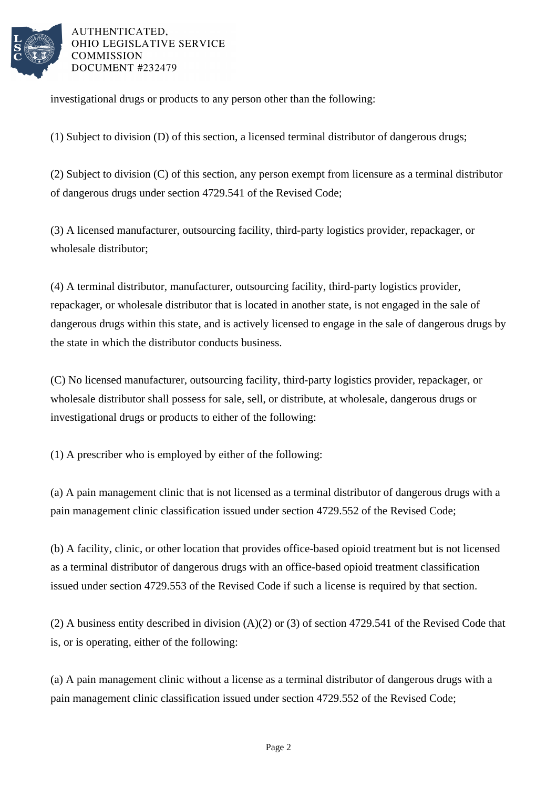

investigational drugs or products to any person other than the following:

(1) Subject to division (D) of this section, a licensed terminal distributor of dangerous drugs;

(2) Subject to division (C) of this section, any person exempt from licensure as a terminal distributor of dangerous drugs under section 4729.541 of the Revised Code;

(3) A licensed manufacturer, outsourcing facility, third-party logistics provider, repackager, or wholesale distributor;

(4) A terminal distributor, manufacturer, outsourcing facility, third-party logistics provider, repackager, or wholesale distributor that is located in another state, is not engaged in the sale of dangerous drugs within this state, and is actively licensed to engage in the sale of dangerous drugs by the state in which the distributor conducts business.

(C) No licensed manufacturer, outsourcing facility, third-party logistics provider, repackager, or wholesale distributor shall possess for sale, sell, or distribute, at wholesale, dangerous drugs or investigational drugs or products to either of the following:

(1) A prescriber who is employed by either of the following:

(a) A pain management clinic that is not licensed as a terminal distributor of dangerous drugs with a pain management clinic classification issued under section 4729.552 of the Revised Code;

(b) A facility, clinic, or other location that provides office-based opioid treatment but is not licensed as a terminal distributor of dangerous drugs with an office-based opioid treatment classification issued under section 4729.553 of the Revised Code if such a license is required by that section.

(2) A business entity described in division (A)(2) or (3) of section 4729.541 of the Revised Code that is, or is operating, either of the following:

(a) A pain management clinic without a license as a terminal distributor of dangerous drugs with a pain management clinic classification issued under section 4729.552 of the Revised Code;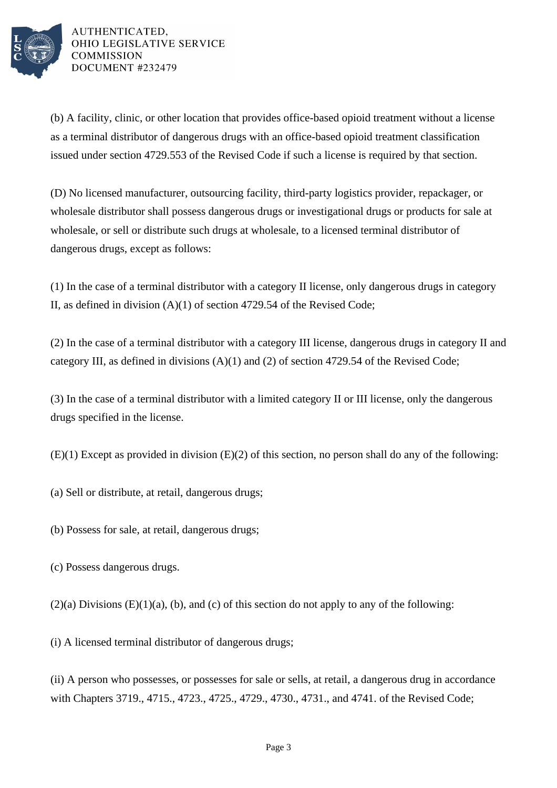

(b) A facility, clinic, or other location that provides office-based opioid treatment without a license as a terminal distributor of dangerous drugs with an office-based opioid treatment classification issued under section 4729.553 of the Revised Code if such a license is required by that section.

(D) No licensed manufacturer, outsourcing facility, third-party logistics provider, repackager, or wholesale distributor shall possess dangerous drugs or investigational drugs or products for sale at wholesale, or sell or distribute such drugs at wholesale, to a licensed terminal distributor of dangerous drugs, except as follows:

(1) In the case of a terminal distributor with a category II license, only dangerous drugs in category II, as defined in division (A)(1) of section 4729.54 of the Revised Code;

(2) In the case of a terminal distributor with a category III license, dangerous drugs in category II and category III, as defined in divisions (A)(1) and (2) of section 4729.54 of the Revised Code;

(3) In the case of a terminal distributor with a limited category II or III license, only the dangerous drugs specified in the license.

(E)(1) Except as provided in division (E)(2) of this section, no person shall do any of the following:

- (a) Sell or distribute, at retail, dangerous drugs;
- (b) Possess for sale, at retail, dangerous drugs;
- (c) Possess dangerous drugs.
- $(2)(a)$  Divisions  $(E)(1)(a)$ ,  $(b)$ , and  $(c)$  of this section do not apply to any of the following:

(i) A licensed terminal distributor of dangerous drugs;

(ii) A person who possesses, or possesses for sale or sells, at retail, a dangerous drug in accordance with Chapters 3719., 4715., 4723., 4725., 4729., 4730., 4731., and 4741. of the Revised Code;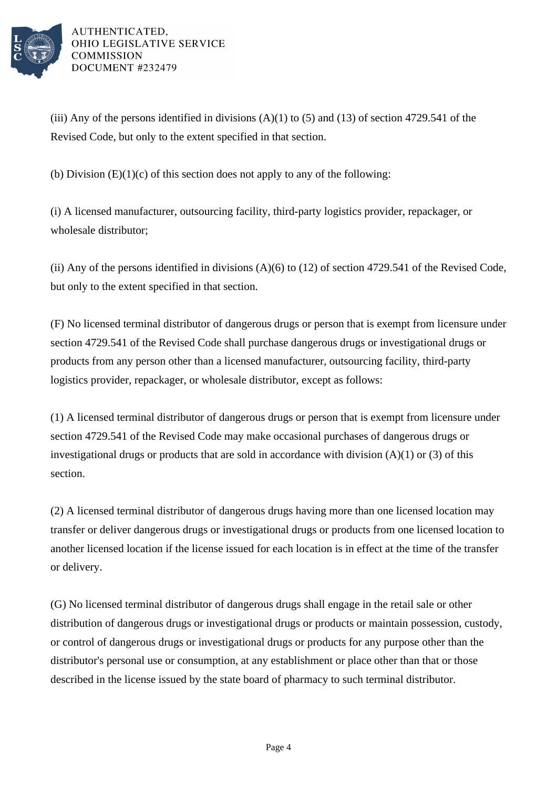

(iii) Any of the persons identified in divisions  $(A)(1)$  to  $(5)$  and  $(13)$  of section 4729.541 of the Revised Code, but only to the extent specified in that section.

(b) Division  $(E)(1)(c)$  of this section does not apply to any of the following:

(i) A licensed manufacturer, outsourcing facility, third-party logistics provider, repackager, or wholesale distributor;

(ii) Any of the persons identified in divisions (A)(6) to (12) of section 4729.541 of the Revised Code, but only to the extent specified in that section.

(F) No licensed terminal distributor of dangerous drugs or person that is exempt from licensure under section 4729.541 of the Revised Code shall purchase dangerous drugs or investigational drugs or products from any person other than a licensed manufacturer, outsourcing facility, third-party logistics provider, repackager, or wholesale distributor, except as follows:

(1) A licensed terminal distributor of dangerous drugs or person that is exempt from licensure under section 4729.541 of the Revised Code may make occasional purchases of dangerous drugs or investigational drugs or products that are sold in accordance with division  $(A)(1)$  or  $(3)$  of this section.

(2) A licensed terminal distributor of dangerous drugs having more than one licensed location may transfer or deliver dangerous drugs or investigational drugs or products from one licensed location to another licensed location if the license issued for each location is in effect at the time of the transfer or delivery.

(G) No licensed terminal distributor of dangerous drugs shall engage in the retail sale or other distribution of dangerous drugs or investigational drugs or products or maintain possession, custody, or control of dangerous drugs or investigational drugs or products for any purpose other than the distributor's personal use or consumption, at any establishment or place other than that or those described in the license issued by the state board of pharmacy to such terminal distributor.